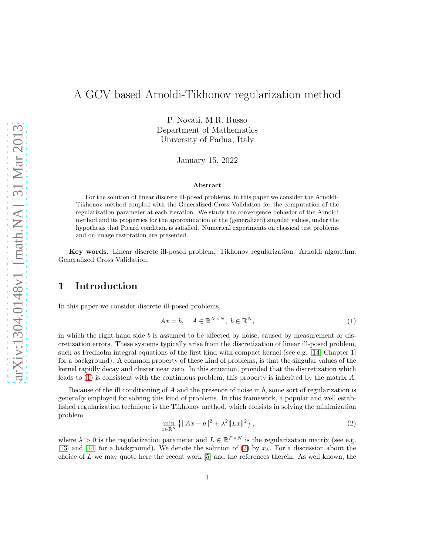# A GCV based Arnoldi-Tikhonov regularization method

P. Novati, M.R. Russo Department of Mathematics University of Padua, Italy

January 15, 2022

#### Abstract

For the solution of linear discrete ill-posed problems, in this paper we consider the Arnoldi-Tikhonov method coupled with the Generalized Cross Validation for the computation of the regularization parameter at each iteration. We study the convergence behavior of the Arnoldi method and its properties for the approximation of the (generalized) singular values, under the hypothesis that Picard condition is satisfied. Numerical experiments on classical test problems and on image restoration are presented.

Key words. Linear discrete ill-posed problem. Tikhonov regularization. Arnoldi algorithm. Generalized Cross Validation.

## 1 Introduction

In this paper we consider discrete ill-posed problems,

<span id="page-0-0"></span>
$$
Ax = b, \quad A \in \mathbb{R}^{N \times N}, \ b \in \mathbb{R}^N,
$$
 (1)

in which the right-hand side  $b$  is assumed to be affected by noise, caused by measurement or discretization errors. These systems typically arise from the discretization of linear ill-posed problem, such as Fredholm integral equations of the first kind with compact kernel (see e.g. [\[14,](#page-20-0) Chapter 1] for a background). A common property of these kind of problems, is that the singular values of the kernel rapidly decay and cluster near zero. In this situation, provided that the discretization which leads to [\(1\)](#page-0-0) is consistent with the continuous problem, this property is inherited by the matrix A.

Because of the ill conditioning of  $A$  and the presence of noise in  $b$ , some sort of regularization is generally employed for solving this kind of problems. In this framework, a popular and well established regularization technique is the Tikhonov method, which consists in solving the minimization problem

<span id="page-0-1"></span>
$$
\min_{x \in \mathbb{R}^N} \left\{ \|Ax - b\|^2 + \lambda^2 \|Lx\|^2 \right\},\tag{2}
$$

where  $\lambda > 0$  is the regularization parameter and  $L \in \mathbb{R}^{P \times N}$  is the regularization matrix (see e.g. [\[13\]](#page-20-1) and [\[14\]](#page-20-0) for a background). We denote the solution of [\(2\)](#page-0-1) by  $x_\lambda$ . For a discussion about the choice of  $L$  we may quote here the recent work  $[5]$  and the references therein. As well known, the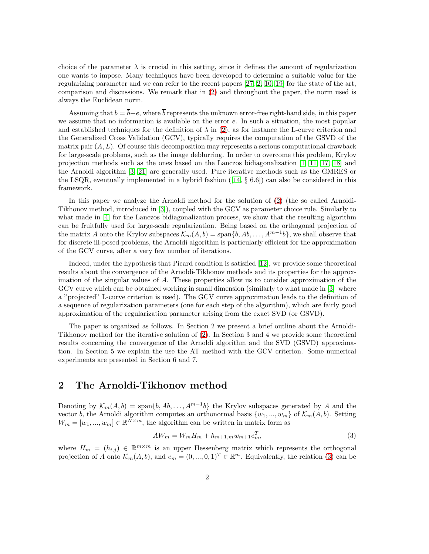choice of the parameter  $\lambda$  is crucial in this setting, since it defines the amount of regularization one wants to impose. Many techniques have been developed to determine a suitable value for the regularizing parameter and we can refer to the recent papers [\[27,](#page-20-2) [2,](#page-19-1) [10,](#page-19-2) [19\]](#page-20-3) for the state of the art, comparison and discussions. We remark that in [\(2\)](#page-0-1) and throughout the paper, the norm used is always the Euclidean norm.

Assuming that  $b = \overline{b} + e$ , where  $\overline{b}$  represents the unknown error-free right-hand side, in this paper we assume that no information is available on the error  $e$ . In such a situation, the most popular and established techniques for the definition of  $\lambda$  in [\(2\)](#page-0-1), as for instance the L-curve criterion and the Generalized Cross Validation (GCV), typically requires the computation of the GSVD of the matrix pair  $(A, L)$ . Of course this decomposition may represents a serious computational drawback for large-scale problems, such as the image deblurring. In order to overcome this problem, Krylov projection methods such as the ones based on the Lanczos bidiagonalization [\[1,](#page-19-3) [11,](#page-20-4) [17,](#page-20-5) [18\]](#page-20-6) and the Arnoldi algorithm [\[3,](#page-19-4) [21\]](#page-20-7) are generally used. Pure iterative methods such as the GMRES or the LSQR, eventually implemented in a hybrid fashion  $([14, \S 6.6])$  $([14, \S 6.6])$  $([14, \S 6.6])$  can also be considered in this framework.

In this paper we analyze the Arnoldi method for the solution of [\(2\)](#page-0-1) (the so called Arnoldi-Tikhonov method, introduced in [\[3\]](#page-19-4)), coupled with the GCV as parameter choice rule. Similarly to what made in [\[4\]](#page-19-5) for the Lanczos bidiagonalization process, we show that the resulting algorithm can be fruitfully used for large-scale regularization. Being based on the orthogonal projection of the matrix A onto the Krylov subspaces  $\mathcal{K}_m(A, b) = \text{span}\{b, Ab, \ldots, A^{m-1}b\}$ , we shall observe that for discrete ill-posed problems, the Arnoldi algorithm is particularly efficient for the approximation of the GCV curve, after a very few number of iterations.

Indeed, under the hypothesis that Picard condition is satisfied [\[12\]](#page-20-8), we provide some theoretical results about the convergence of the Arnoldi-Tikhonov methods and its properties for the approximation of the singular values of A. These properties allow us to consider approximation of the GCV curve which can be obtained working in small dimension (similarly to what made in [\[3\]](#page-19-4) where a "projected" L-curve criterion is used). The GCV curve approximation leads to the definition of a sequence of regularization parameters (one for each step of the algorithm), which are fairly good approximation of the regularization parameter arising from the exact SVD (or GSVD).

The paper is organized as follows. In Section 2 we present a brief outline about the Arnoldi-Tikhonov method for the iterative solution of [\(2\)](#page-0-1). In Section 3 and 4 we provide some theoretical results concerning the convergence of the Arnoldi algorithm and the SVD (GSVD) approximation. In Section 5 we explain the use the AT method with the GCV criterion. Some numerical experiments are presented in Section 6 and 7.

## 2 The Arnoldi-Tikhonov method

Denoting by  $\mathcal{K}_m(A,b) = \text{span}\{b, Ab, \ldots, A^{m-1}b\}$  the Krylov subspaces generated by A and the vector b, the Arnoldi algorithm computes an orthonormal basis  $\{w_1, ..., w_m\}$  of  $\mathcal{K}_m(A, b)$ . Setting  $W_m = [w_1, ..., w_m] \in \mathbb{R}^{N \times m}$ , the algorithm can be written in matrix form as

<span id="page-1-0"></span>
$$
AW_m = W_m H_m + h_{m+1,m} w_{m+1} e_m^T,
$$
\n(3)

where  $H_m = (h_{i,j}) \in \mathbb{R}^{m \times m}$  is an upper Hessenberg matrix which represents the orthogonal projection of A onto  $\mathcal{K}_m(A, b)$ , and  $e_m = (0, ..., 0, 1)^T \in \mathbb{R}^m$ . Equivalently, the relation [\(3\)](#page-1-0) can be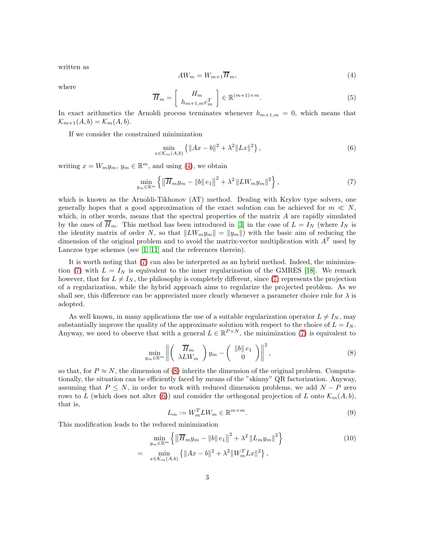written as

<span id="page-2-0"></span>
$$
AW_m = W_{m+1}\overline{H}_m,\tag{4}
$$

where

<span id="page-2-5"></span>
$$
\overline{H}_m = \left[ \begin{array}{c} H_m \\ h_{m+1,m} e_m^T \end{array} \right] \in \mathbb{R}^{(m+1)\times m}.
$$
\n(5)

In exact arithmetics the Arnoldi process terminates whenever  $h_{m+1,m} = 0$ , which means that  $\mathcal{K}_{m+1}(A,b) = \mathcal{K}_m(A,b).$ 

If we consider the constrained minimization

<span id="page-2-3"></span>
$$
\min_{x \in \mathcal{K}_m(A,b)} \left\{ \|Ax - b\|^2 + \lambda^2 \|Lx\|^2 \right\},\tag{6}
$$

writing  $x = W_m y_m$ ,  $y_m \in \mathbb{R}^m$ , and using [\(4\)](#page-2-0), we obtain

<span id="page-2-1"></span>
$$
\min_{y_m \in \mathbb{R}^m} \left\{ \left\| \overline{H}_m y_m - \|b\| \, e_1 \right\|^2 + \lambda^2 \left\| L W_m y_m \right\|^2 \right\},\tag{7}
$$

which is known as the Arnoldi-Tikhonov (AT) method. Dealing with Krylov type solvers, one generally hopes that a good approximation of the exact solution can be achieved for  $m \ll N$ , which, in other words, means that the spectral properties of the matrix  $A$  are rapidly simulated by the ones of  $\overline{H}_m$ . This method has been introduced in [\[3\]](#page-19-4) in the case of  $L = I_N$  (where  $I_N$  is the identity matrix of order N, so that  $||LW_my_m|| = ||y_m||$  with the basic aim of reducing the dimension of the original problem and to avoid the matrix-vector multiplication with  $A<sup>T</sup>$  used by Lanczos type schemes (see [\[1,](#page-19-3) [11\]](#page-20-4) and the references therein).

It is worth noting that [\(7\)](#page-2-1) can also be interpreted as an hybrid method. Indeed, the minimiza-tion [\(7\)](#page-2-1) with  $L = I_N$  is equivalent to the inner regularization of the GMRES [\[18\]](#page-20-6). We remark however, that for  $L \neq I_N$ , the philosophy is completely different, since [\(7\)](#page-2-1) represents the projection of a regularization, while the hybrid approach aims to regularize the projected problem. As we shall see, this difference can be appreciated more clearly whenever a parameter choice rule for  $\lambda$  is adopted.

As well known, in many applications the use of a suitable regularization operator  $L \neq I_N$ , may substantially improve the quality of the approximate solution with respect to the choice of  $L = I_N$ . Anyway, we need to observe that with a general  $L \in \mathbb{R}^{P \times N}$ , the minimization [\(7\)](#page-2-1) is equivalent to

<span id="page-2-2"></span>
$$
\min_{y_m \in \mathbb{R}^m} \left\| \left( \begin{array}{c} \overline{H}_m \\ \lambda L W_m \end{array} \right) y_m - \left( \begin{array}{c} \|b\| \, e_1 \\ 0 \end{array} \right) \right\|^2, \tag{8}
$$

so that, for  $P \approx N$ , the dimension of [\(8\)](#page-2-2) inherits the dimension of the original problem. Computationally, the situation can be efficiently faced by means of the "skinny" QR factorization. Anyway, assuming that  $P \leq N$ , in order to work with reduced dimension problems, we add  $N - P$  zero rows to L (which does not alter [\(6\)](#page-2-3)) and consider the orthogonal projection of L onto  $\mathcal{K}_m(A, b)$ , that is,

<span id="page-2-6"></span>
$$
L_m := W_m^T L W_m \in \mathbb{R}^{m \times m}.
$$
\n(9)

This modification leads to the reduced minimization

<span id="page-2-4"></span>
$$
\min_{y_m \in \mathbb{R}^m} \left\{ \left\| \overline{H}_m y_m - \|b\| \, e_1 \right\|^2 + \lambda^2 \left\| L_m y_m \right\|^2 \right\} \n= \min_{x \in \mathcal{K}_m(A,b)} \left\{ \|Ax - b\|^2 + \lambda^2 \left\| W_m^T L x \right\|^2 \right\},
$$
\n(10)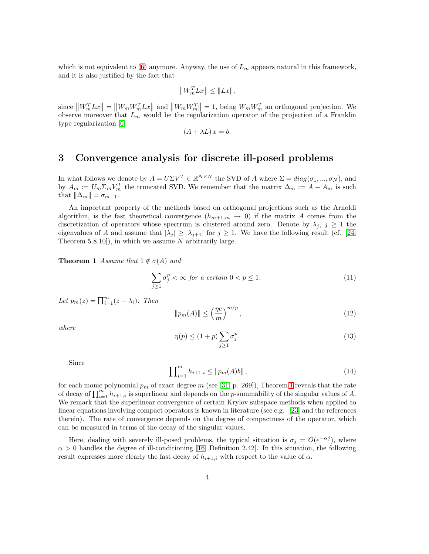which is not equivalent to [\(6\)](#page-2-3) anymore. Anyway, the use of  $L_m$  appears natural in this framework, and it is also justified by the fact that

$$
\left\|W_{m}^{T}Lx\right\|\leq\|Lx\|,
$$

since  $||W_m^T Lx|| = ||W_m W_m^T Lx||$  and  $||W_m W_m^T|| = 1$ , being  $W_m W_m^T$  an orthogonal projection. We observe moreover that  $L_m$  would be the regularization operator of the projection of a Franklin type regularization [\[6\]](#page-19-6)

$$
(A + \lambda L) x = b.
$$

#### 3 Convergence analysis for discrete ill-posed problems

In what follows we denote by  $A = U\Sigma V^T \in \mathbb{R}^{N \times N}$  the SVD of A where  $\Sigma = diag(\sigma_1, ..., \sigma_N)$ , and by  $A_m := U_m \Sigma_m V_m^T$  the truncated SVD. We remember that the matrix  $\Delta_m := A - A_m$  is such that  $\|\Delta_m\| = \sigma_{m+1}$ .

An important property of the methods based on orthogonal projections such as the Arnoldi algorithm, is the fast theoretical convergence  $(h_{m+1,m} \to 0)$  if the matrix A comes from the discretization of operators whose spectrum is clustered around zero. Denote by  $\lambda_i$ ,  $j \geq 1$  the eigenvalues of A and assume that  $|\lambda_j| \geq |\lambda_{j+1}|$  for  $j \geq 1$ . We have the following result (cf. [\[24,](#page-20-9) Theorem 5.8.10]), in which we assume  $N$  arbitrarily large.

<span id="page-3-0"></span>**Theorem 1** Assume that  $1 \notin \sigma(A)$  and

$$
\sum_{j\geq 1} \sigma_j^p < \infty \text{ for a certain } 0 < p \leq 1. \tag{11}
$$

Let  $p_m(z) = \prod_{i=1}^m (z - \lambda_i)$ . Then

<span id="page-3-2"></span>
$$
||p_m(A)|| \le \left(\frac{\eta e}{m}\right)^{m/p},\tag{12}
$$

where

<span id="page-3-1"></span>
$$
\eta(p) \le (1+p) \sum_{j\ge 1} \sigma_j^p. \tag{13}
$$

Since

<span id="page-3-3"></span>
$$
\prod_{i=1}^{m} h_{i+1,i} \le \|p_m(A)b\| \,,\tag{14}
$$

for each monic polynomial  $p_m$  of exact degree m (see [\[31,](#page-21-0) p. 269]), Theorem [1](#page-3-0) reveals that the rate of decay of  $\prod_{i=1}^m h_{i+1,i}$  is superlinear and depends on the p-summability of the singular values of A. We remark that the superlinear convergence of certain Krylov subspace methods when applied to linear equations involving compact operators is known in literature (see e.g. [\[23\]](#page-20-10) and the references therein). The rate of convergence depends on the degree of compactness of the operator, which can be measured in terms of the decay of the singular values.

Here, dealing with severely ill-posed problems, the typical situation is  $\sigma_j = O(e^{-\alpha_j})$ , where  $\alpha > 0$  handles the degree of ill-conditioning [\[16,](#page-20-11) Definition 2.42]. In this situation, the following result expresses more clearly the fast decay of  $h_{i+1,i}$  with respect to the value of  $\alpha$ .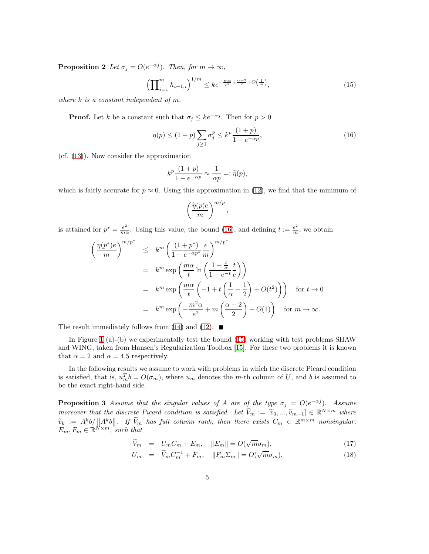**Proposition 2** Let  $\sigma_j = O(e^{-\alpha j})$ . Then, for  $m \to \infty$ ,

<span id="page-4-1"></span>
$$
\left(\prod_{i=1}^{m} h_{i+1,i}\right)^{1/m} \leq k e^{-\frac{m\alpha}{e^2} + \frac{\alpha+2}{2} + O\left(\frac{1}{m}\right)},\tag{15}
$$

where  $k$  is a constant independent of  $m$ .

**Proof.** Let k be a constant such that  $\sigma_j \leq ke^{-\alpha j}$ . Then for  $p > 0$ 

<span id="page-4-0"></span>
$$
\eta(p) \le (1+p) \sum_{j\ge 1} \sigma_j^p \le k^p \frac{(1+p)}{1 - e^{-\alpha p}},\tag{16}
$$

(cf. [\(13\)](#page-3-1)). Now consider the approximation

$$
k^p \frac{(1+p)}{1-e^{-\alpha p}} \approx \frac{1}{\alpha p} =: \widetilde{\eta}(p),
$$

which is fairly accurate for  $p \approx 0$ . Using this approximation in [\(12\)](#page-3-2), we find that the minimum of

$$
\left(\frac{\widetilde{\eta}(p)e}{m}\right)^{m/p},\,
$$

is attained for  $p^* = \frac{e^2}{mc}$  $\frac{e^2}{m\alpha}$ . Using this value, the bound [\(16\)](#page-4-0), and defining  $t := \frac{e^2}{m}$ , we obtain

$$
\left(\frac{\eta(p^*)e}{m}\right)^{m/p^*} \leq k^m \left(\frac{(1+p^*)}{1-e^{-\alpha p^*}m}\right)^{m/p^*}
$$
  
=  $k^m \exp\left(\frac{m\alpha}{t}\ln\left(\frac{1+\frac{t}{\alpha}}{1-e^{-t}}\frac{t}{e}\right)\right)$   
=  $k^m \exp\left(\frac{m\alpha}{t}\left(-1+t\left(\frac{1}{\alpha}+\frac{1}{2}\right)+O(t^2)\right)\right)$  for  $t \to 0$   
=  $k^m \exp\left(-\frac{m^2\alpha}{e^2}+m\left(\frac{\alpha+2}{2}\right)+O(1)\right)$  for  $m \to \infty$ .

The result immediately follows from [\(14\)](#page-3-3) and [\(12\)](#page-3-2).  $\blacksquare$ 

In Figure [1](#page-7-0) (a)-(b) we experimentally test the bound [\(15\)](#page-4-1) working with test problems SHAW and WING, taken from Hansen's Regularization Toolbox [\[15\]](#page-20-12). For these two problems it is known that  $\alpha = 2$  and  $\alpha = 4.5$  respectively.

In the following results we assume to work with problems in which the discrete Picard condition is satisfied, that is,  $u_m^T b = O(\sigma_m)$ , where  $u_m$  denotes the m-th column of U, and b is assumed to be the exact right-hand side.

<span id="page-4-3"></span>**Proposition 3** Assume that the singular values of A are of the type  $\sigma_j = O(e^{-\alpha j})$ . Assume moreover that the discrete Picard condition is satisfied. Let  $\widetilde{V}_m := [\widetilde{v}_0, ..., \widetilde{v}_{m-1}] \in \mathbb{R}^{N \times m}$  where  $\widetilde{V}_m = \widetilde{v}_0, \ldots, \widetilde{v}_{m-1} \in \mathbb{R}^{N \times m}$  $\widetilde{v}_k := A^k b / ||A^k b||.$  If  $\widetilde{V}_m$  has full column rank, then there exists  $C_m \in \mathbb{R}^{m \times m}$  nonsingular,  $E_m, F_m \in \mathbb{R}^{N \times m}$ , such that

<span id="page-4-2"></span>
$$
\widetilde{V}_m = U_m C_m + E_m, \quad ||E_m|| = O(\sqrt{m} \sigma_m), \tag{17}
$$

$$
U_m = \widetilde{V}_m C_m^{-1} + F_m, \quad ||F_m \Sigma_m|| = O(\sqrt{m} \sigma_m). \tag{18}
$$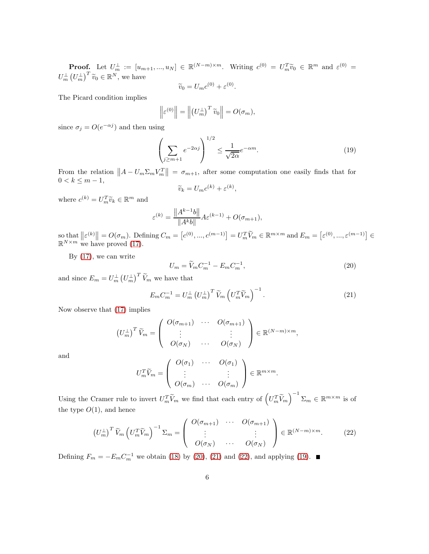**Proof.** Let  $U_m^{\perp} := [u_{m+1},...,u_N] \in \mathbb{R}^{(N-m)\times m}$ . Writing  $c^{(0)} = U_m^T \widetilde{v}_0 \in \mathbb{R}^m$  and  $\varepsilon^{(0)} = (v_{m+1},...,v_{N})$  $U_m^{\perp} (U_m^{\perp})^T \widetilde{v}_0 \in \mathbb{R}^N$ , we have

$$
\widetilde{v}_0 = U_m c^{(0)} + \varepsilon^{(0)}.
$$

The Picard condition implies

$$
\left\|\varepsilon^{(0)}\right\| = \left\|\left(U_m^{\perp}\right)^T \widetilde{v}_0\right\| = O(\sigma_m),
$$

since  $\sigma_j = O(e^{-\alpha j})$  and then using

<span id="page-5-3"></span>
$$
\left(\sum_{j\geq m+1} e^{-2\alpha j}\right)^{1/2} \leq \frac{1}{\sqrt{2\alpha}} e^{-\alpha m}.\tag{19}
$$

From the relation  $||A - U_m \Sigma_m V_m^T|| = \sigma_{m+1}$ , after some computation one easily finds that for  $0 < k \le m - 1$ ,

$$
\widetilde{v}_k = U_m c^{(k)} + \varepsilon^{(k)},
$$

where  $c^{(k)} = U_m^T \widetilde{v}_k \in \mathbb{R}^m$  and

$$
\varepsilon^{(k)} = \frac{\|A^{k-1}b\|}{\|A^k b\|} A \varepsilon^{(k-1)} + O(\sigma_{m+1}),
$$

so that  $||\varepsilon^{(k)}|| = O(\sigma_m)$ . Defining  $C_m = [c^{(0)}, ..., c^{(m-1)}] = U_m^T \widetilde{V}_m \in \mathbb{R}^{m \times m}$  and  $E_m = [\varepsilon^{(0)}, ..., \varepsilon^{(m-1)}] \in \mathbb{R}^{N \times m}$  we have proved [\(17\)](#page-4-2).

By [\(17\)](#page-4-2), we can write

<span id="page-5-0"></span>
$$
U_m = \widetilde{V}_m C_m^{-1} - E_m C_m^{-1},\tag{20}
$$

and since  $E_m = U_m^{\perp} (U_m^{\perp})^T \widetilde{V}_m$  we have that

<span id="page-5-1"></span>
$$
E_m C_m^{-1} = U_m^{\perp} \left( U_m^{\perp} \right)^T \widetilde{V}_m \left( U_m^T \widetilde{V}_m \right)^{-1} . \tag{21}
$$

Now observe that [\(17\)](#page-4-2) implies

$$
\left(U_m^{\perp}\right)^T \widetilde{V}_m = \left(\begin{array}{ccc} O(\sigma_{m+1}) & \cdots & O(\sigma_{m+1}) \\ \vdots & & \vdots \\ O(\sigma_N) & \cdots & O(\sigma_N) \end{array}\right) \in \mathbb{R}^{(N-m)\times m},
$$

and

$$
U_m^T \widetilde{V}_m = \begin{pmatrix} O(\sigma_1) & \cdots & O(\sigma_1) \\ \vdots & & \vdots \\ O(\sigma_m) & \cdots & O(\sigma_m) \end{pmatrix} \in \mathbb{R}^{m \times m}.
$$

Using the Cramer rule to invert  $U_m^T \widetilde{V}_m$  we find that each entry of  $(U_m^T \widetilde{V}_m)^{-1} \Sigma_m \in \mathbb{R}^{m \times m}$  is of the type  $O(1)$ , and hence

<span id="page-5-2"></span>
$$
\left(U_m^{\perp}\right)^T \widetilde{V}_m \left(U_m^T \widetilde{V}_m\right)^{-1} \Sigma_m = \begin{pmatrix} O(\sigma_{m+1}) & \cdots & O(\sigma_{m+1}) \\ \vdots & & \vdots \\ O(\sigma_N) & \cdots & O(\sigma_N) \end{pmatrix} \in \mathbb{R}^{(N-m)\times m}.
$$
 (22)

Defining  $F_m = -E_m C_m^{-1}$  we obtain [\(18\)](#page-4-2) by [\(20\)](#page-5-0), [\(21\)](#page-5-1) and [\(22\)](#page-5-2), and applying [\(19\)](#page-5-3).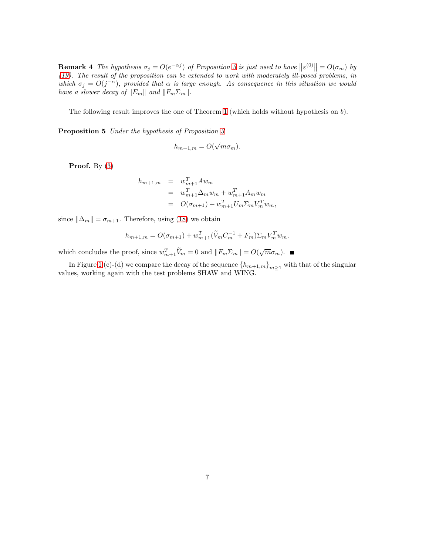**Remark 4** The hypothesis  $\sigma_j = O(e^{-\alpha j})$  of Proposition [3](#page-4-3) is just used to have  $||\varepsilon^{(0)}|| = O(\sigma_m)$  by [\(19\)](#page-5-3). The result of the proposition can be extended to work with moderately ill-posed problems, in which  $\sigma_j = O(j^{-\alpha})$ , provided that  $\alpha$  is large enough. As consequence in this situation we would have a slower decay of  $||E_m||$  and  $||F_m\Sigma_m||$ .

<span id="page-6-0"></span>The following result improves the one of Theorem [1](#page-3-0) (which holds without hypothesis on b).

Proposition 5 Under the hypothesis of Proposition [3](#page-4-3)

$$
h_{m+1,m} = O(\sqrt{m}\sigma_m).
$$

**Proof.** By  $(3)$ 

$$
h_{m+1,m} = w_{m+1}^T A w_m
$$
  
=  $w_{m+1}^T \Delta_m w_m + w_{m+1}^T A_m w_m$   
=  $O(\sigma_{m+1}) + w_{m+1}^T U_m \Sigma_m V_m^T w_m$ ,

since  $\|\Delta_m\| = \sigma_{m+1}$ . Therefore, using [\(18\)](#page-4-2) we obtain

$$
h_{m+1,m} = O(\sigma_{m+1}) + w_{m+1}^T (\widetilde{V}_m C_m^{-1} + F_m) \Sigma_m V_m^T w_m.
$$

which concludes the proof, since  $w_{m+1}^T \widetilde{V}_m = 0$  and  $||F_m \Sigma_m|| = O(\sqrt{m} \sigma_m)$ .

In Figure [1](#page-7-0) (c)-(d) we compare the decay of the sequence  ${h_{m+1,m}}_{m\geq 1}$  with that of the singular values, working again with the test problems SHAW and WING.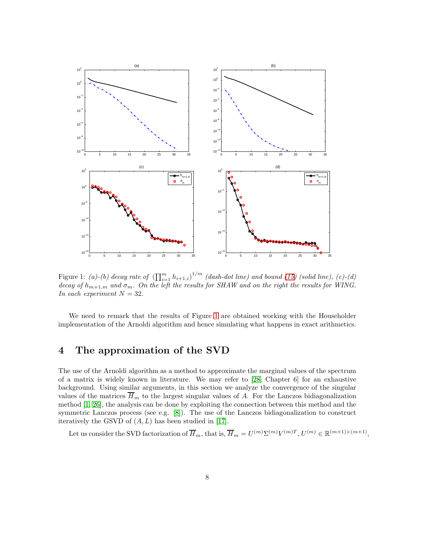

<span id="page-7-0"></span>Figure 1: (a)-(b) decay rate of  $\left(\prod_{i=1}^m h_{i+1,i}\right)^{1/m}$  (dash-dot line) and bound [\(15\)](#page-4-1) (solid line), (c)-(d) decay of  $h_{m+1,m}$  and  $\sigma_m$ . On the left the results for SHAW and on the right the results for WING. In each experiment  $N = 32$ .

We need to remark that the results of Figure [1](#page-7-0) are obtained working with the Householder implementation of the Arnoldi algorithm and hence simulating what happens in exact arithmetics.

## 4 The approximation of the SVD

The use of the Arnoldi algorithm as a method to approximate the marginal values of the spectrum of a matrix is widely known in literature. We may refer to [\[28,](#page-20-13) Chapter 6] for an exhaustive background. Using similar arguments, in this section we analyze the convergence of the singular values of the matrices  $\overline{H}_m$  to the largest singular values of A. For the Lanczos bidiagonalization method [\[1,](#page-19-3) [26\]](#page-20-14), the analysis can be done by exploiting the connection between this method and the symmetric Lanczos process (see e.g. [\[8\]](#page-19-7)). The use of the Lanczos bidiagonalization to construct iteratively the GSVD of  $(A, L)$  has been studied in [\[17\]](#page-20-5).

Let us consider the SVD factorization of  $\overline{H}_m$ , that is,  $\overline{H}_m = U^{(m)} \Sigma^{(m)} V^{(m)T}$ ,  $U^{(m)} \in \mathbb{R}^{(m+1)\times(m+1)}$ ,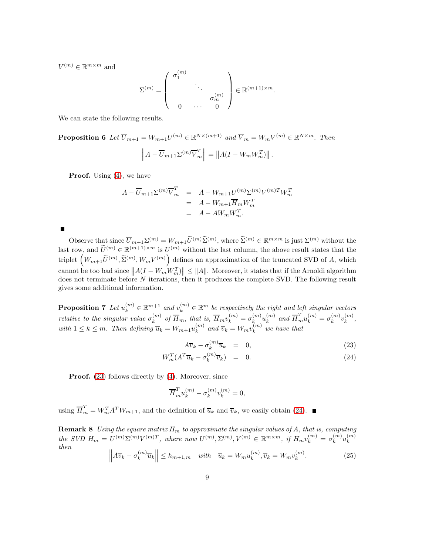$V^{(m)} \in \mathbb{R}^{m \times m}$  and

$$
\Sigma^{(m)} = \left( \begin{array}{ccc} \sigma_1^{(m)} & & \\ & \ddots & \\ & & \sigma_m^{(m)} \\ 0 & \cdots & 0 \end{array} \right) \in \mathbb{R}^{(m+1) \times m}.
$$

We can state the following results.

**Proposition 6** Let  $\overline{U}_{m+1} = W_{m+1}U^{(m)} \in \mathbb{R}^{N \times (m+1)}$  and  $\overline{V}_m = W_mV^{(m)} \in \mathbb{R}^{N \times m}$ . Then

$$
\left\| A - \overline{U}_{m+1} \Sigma^{(m)} \overline{V}_{m}^{T} \right\| = \left\| A (I - W_{m} W_{m}^{T}) \right\|.
$$

**Proof.** Using  $(4)$ , we have

$$
A - \overline{U}_{m+1} \Sigma^{(m)} \overline{V}_m^T = A - W_{m+1} U^{(m)} \Sigma^{(m)} V^{(m)T} W_m^T
$$
  
= 
$$
A - W_{m+1} \overline{H}_m W_m^T
$$
  
= 
$$
A - AW_m W_m^T.
$$

 $\blacksquare$ 

Observe that since  $\overline{U}_{m+1}\Sigma^{(m)}=W_{m+1}\widetilde{U}^{(m)}\widetilde{\Sigma}^{(m)}$ , where  $\widetilde{\Sigma}^{(m)}\in\mathbb{R}^{m\times m}$  is just  $\Sigma^{(m)}$  without the last row, and  $\widetilde{U}^{(m)} \in \mathbb{R}^{(m+1)\times m}$  is  $U^{(m)}$  without the last column, the above result states that the triplet  $(W_{m+1}\tilde{U}^{(m)}, \tilde{\Sigma}^{(m)}, W_m V^{(m)})$  defines an approximation of the truncated SVD of A, which cannot be too bad since  $||A(I - W_m W_m^T)|| \le ||A||$ . Moreover, it states that if the Arnoldi algorithm does not terminate before N iterations, then it produces the complete SVD. The following result gives some additional information.

<span id="page-8-1"></span>**Proposition 7** Let  $u_k^{(m)} \in \mathbb{R}^{m+1}$  and  $v_k^{(m)} \in \mathbb{R}^m$  be respectively the right and left singular vectors relative to the singular value  $\sigma_k^{(m)}$  $\mathcal{E}_k^{(m)}$  of  $\overline{H}_m$ , that is,  $\overline{H}_m v_k^{(m)} = \sigma_k^{(m)}$  $\binom{m}{k}u_{k}^{(m)}$  $\binom{m}{k}$  and  $\overline{H}_m^T u_k^{(m)} = \sigma_k^{(m)}$  $\binom{m}{k}v_k^{(m)}$  $_k^{(m)},$ with  $1 \leq k \leq m$ . Then defining  $\overline{u}_k = W_{m+1} u_k^{(m)}$  $\binom{m}{k}$  and  $\overline{v}_k = W_m v_k^{(m)}$  we have that

<span id="page-8-0"></span>
$$
A\overline{v}_k - \sigma_k^{(m)}\overline{u}_k = 0, \qquad (23)
$$

$$
W_m^T (A^T \overline{u}_k - \sigma_k^{(m)} \overline{v}_k) = 0. \tag{24}
$$

**Proof.** [\(23\)](#page-8-0) follows directly by [\(4\)](#page-2-0). Moreover, since

$$
\overline{H}_m^T u_k^{(m)} - \sigma_k^{(m)} v_k^{(m)} = 0,
$$

using  $\overline{H}_m^T = W_m^T A^T W_{m+1}$ , and the definition of  $\overline{u}_k$  and  $\overline{v}_k$ , we easily obtain [\(24\)](#page-8-0).

**Remark 8** Using the square matrix  $H_m$  to approximate the singular values of A, that is, computing  $the \; SVD \; H_m = U^{(m)}\Sigma^{(m)}V^{(m)T}, \; where \; now \; U^{(m)}, \Sigma^{(m)}, V^{(m)} \in \mathbb{R}^{m \times m}, \; if \; H_mv_k^{(m)} = \sigma_k^{(m)}$  $\binom{m}{k} u_k^{(m)}$ k then

<span id="page-8-2"></span>
$$
\left\| A\overline{v}_k - \sigma_k^{(m)} \overline{u}_k \right\| \le h_{m+1,m} \quad \text{with} \quad \overline{u}_k = W_m u_k^{(m)}, \overline{v}_k = W_m v_k^{(m)}.
$$
 (25)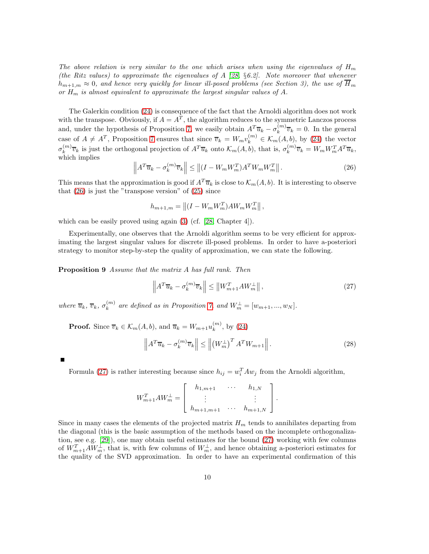The above relation is very similar to the one which arises when using the eigenvalues of  $H_m$ (the Ritz values) to approximate the eigenvalues of A [\[28,](#page-20-13) §6.2]. Note moreover that whenever  $h_{m+1,m} \approx 0$ , and hence very quickly for linear ill-posed problems (see Section 3), the use of  $\overline{H}_m$ or  $H_m$  is almost equivalent to approximate the largest singular values of A.

The Galerkin condition [\(24\)](#page-8-0) is consequence of the fact that the Arnoldi algorithm does not work with the transpose. Obviously, if  $A = A<sup>T</sup>$ , the algorithm reduces to the symmetric Lanczos process and, under the hypothesis of Proposition [7,](#page-8-1) we easily obtain  $A^T \overline{u}_k - \sigma_k^{(m)}$  $\overline{v}_k^{(m)}\overline{v}_k = 0$ . In the general case of  $A \neq A^T$ , Proposition [7](#page-8-1) ensures that since  $\overline{v}_k = W_m v_k^{(m)} \in \mathcal{K}_m(A, b)$ , by [\(24\)](#page-8-0) the vector  $\sigma^{(m)}_k$  $\chi_k^{(m)}\overline{v}_k$  is just the orthogonal projection of  $A^T\overline{u}_k$  onto  $\mathcal{K}_m(A,b)$ , that is,  $\sigma_k^{(m)}$  $k^{(m)}\overline{v}_k = W_m W_m^T A^T \overline{u}_k,$ which implies

<span id="page-9-0"></span>
$$
\left\|A^T \overline{u}_k - \sigma_k^{(m)} \overline{v}_k\right\| \le \left\|(I - W_m W_m^T) A^T W_m W_m^T\right\|.
$$
\n(26)

This means that the approximation is good if  $A^T \overline{u}_k$  is close to  $\mathcal{K}_m(A, b)$ . It is interesting to observe that  $(26)$  is just the "transpose version" of  $(25)$  since

$$
h_{m+1,m} = \left\| (I - W_m W_m^T) A W_m W_m^T \right\|,
$$

which can be easily proved using again [\(3\)](#page-1-0) (cf. [\[28,](#page-20-13) Chapter 4]).

<span id="page-9-2"></span>Experimentally, one observes that the Arnoldi algorithm seems to be very efficient for approximating the largest singular values for discrete ill-posed problems. In order to have a-posteriori strategy to monitor step-by-step the quality of approximation, we can state the following.

Proposition 9 Assume that the matrix A has full rank. Then

<span id="page-9-1"></span>
$$
\left\| A^T \overline{u}_k - \sigma_k^{(m)} \overline{v}_k \right\| \le \left\| W_{m+1}^T A W_m^{\perp} \right\|, \tag{27}
$$

where  $\overline{u}_k$ ,  $\overline{v}_k$ ,  $\sigma_k^{(m)}$  $\binom{m}{k}$  are defined as in Proposition [7,](#page-8-1) and  $W_m^{\perp} = [w_{m+1},...,w_N].$ 

**Proof.** Since  $\overline{v}_k \in \mathcal{K}_m(A, b)$ , and  $\overline{u}_k = W_{m+1}u_k^{(m)}$  $_k^{(m)}$ , by [\(24\)](#page-8-0)

<span id="page-9-3"></span>
$$
\left\|A^T \overline{u}_k - \sigma_k^{(m)} \overline{v}_k\right\| \le \left\| \left(W_m^{\perp}\right)^T A^T W_{m+1} \right\|.
$$
 (28)

Formula [\(27\)](#page-9-1) is rather interesting because since  $h_{ij} = w_i^T A w_j$  from the Arnoldi algorithm,

$$
W_{m+1}^T A W_m^{\perp} = \begin{bmatrix} h_{1,m+1} & \cdots & h_{1,N} \\ \vdots & & \vdots \\ h_{m+1,m+1} & \cdots & h_{m+1,N} \end{bmatrix}.
$$

Since in many cases the elements of the projected matrix  $H_m$  tends to annihilates departing from the diagonal (this is the basic assumption of the methods based on the incomplete orthogonalization, see e.g. [\[29\]](#page-21-1)), one may obtain useful estimates for the bound [\(27\)](#page-9-1) working with few columns of  $W_{m+1}^T A W_m^{\perp}$ , that is, with few columns of  $W_m^{\perp}$ , and hence obtaining a-posteriori estimates for the quality of the SVD approximation. In order to have an experimental confirmation of this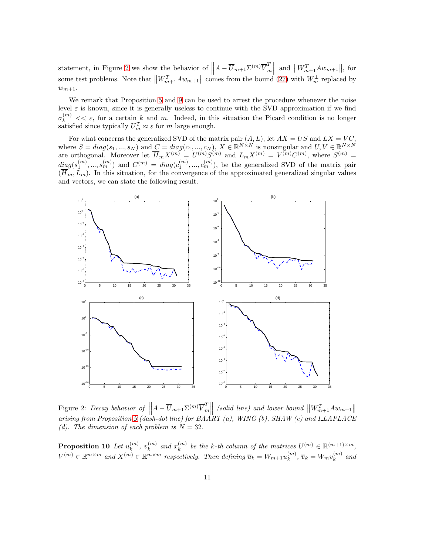statement, in Figure [2](#page-10-0) we show the behavior of  $||A - \overline{U}_{m+1} \Sigma^{(m)} \overline{V}_{m}^{T}$  $\begin{aligned} \binom{T}{m} \quad \text{and} \quad \left\| W_{m+1}^T A w_{m+1} \right\|, \text{ for} \end{aligned}$ some test problems. Note that  $||W_{m+1}^T A w_{m+1}||$  comes from the bound [\(27\)](#page-9-1) with  $W_m^{\perp}$  replaced by  $w_{m+1}$ .

We remark that Proposition [5](#page-6-0) and [9](#page-9-2) can be used to arrest the procedure whenever the noise level  $\varepsilon$  is known, since it is generally useless to continue with the SVD approximation if we find  $\sigma_k^{(m)} \ll \varepsilon$ , for a certain k and m. Indeed, in this situation the Picard condition is no longer satisfied since typically  $U_m^T \approx \varepsilon$  for m large enough.

For what concerns the generalized SVD of the matrix pair  $(A, L)$ , let  $AX = US$  and  $LX = VC$ , where  $S = diag(s_1, ..., s_N)$  and  $C = diag(c_1, ..., c_N)$ ,  $X \in \mathbb{R}^{N \times N}$  is nonsingular and  $U, V \in \mathbb{R}^{N \times N}$ are orthogonal. Moreover let  $\overline{H}_m X^{(m)} = U^{(m)} S^{(m)}$  and  $L_m X^{(m)} = V^{(m)} C^{(m)}$ , where  $S^{(m)} =$  $diag(s_1^{(m)},...,s_m^{(m)})$  and  $C^{(m)} = diag(c_1^{(m)},...,c_m^{(m)})$ , be the generalized SVD of the matrix pair  $(H_m, L_m)$ . In this situation, for the convergence of the approximated generalized singular values and vectors, we can state the following result.



<span id="page-10-0"></span>Figure 2: Decay behavior of  $||A - \overline{U}_{m+1} \Sigma^{(m)} \overline{V}_{m}^{T}$  $\begin{array}{c}\n\prod_{m=1}^{T} \left( \text{solid line} \right) \text{ and lower bound } \left\| W_{m+1}^T A w_{m+1} \right\| \\
\text{constant line} \\
\end{array}$ arising from Proposition [9](#page-9-2) (dash-dot line) for  $BA\ddot{A}RT$  (a), WING (b),  $SHAW$  (c) and  $LLAPLACE$ (d). The dimension of each problem is  $N = 32$ .

<span id="page-10-1"></span>Proposition 10 Let  $u_k^{(m)}$  $\binom{m}{k}, \ v_k^{(m)}$  $_k^{(m)}$  and  $x_k^{(m)}$  $\mathbf{E}_{k}^{(m)}$  be the k-th column of the matrices  $U^{(m)} \in \mathbb{R}^{(m+1)\times m}$ ,  $V^{(m)} \in \mathbb{R}^{m \times m}$  and  $X^{(m)} \in \mathbb{R}^{m \times m}$  respectively. Then defining  $\overline{u}_k = W_{m+1}u_k^{(m)}$  $\overline{v}_k^{(m)}$ ,  $\overline{v}_k = W_m v_k^{(m)}$  $\int_k^{(m)}$  and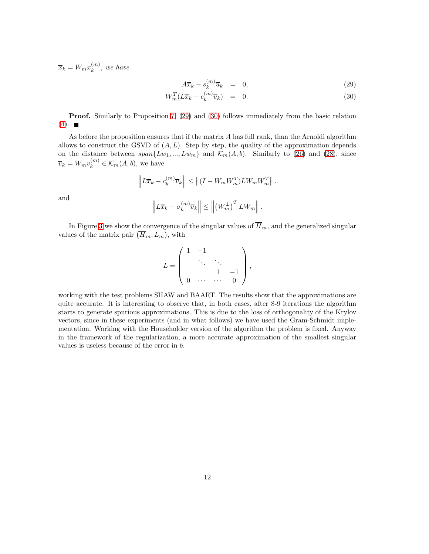$\overline{x}_k = W_m x_k^{(m)}$  $\binom{m}{k}$ , we have

<span id="page-11-0"></span>
$$
A\overline{x}_k - s_k^{(m)}\overline{u}_k = 0, \qquad (29)
$$

$$
W_m^T(L\overline{x}_k - c_k^{(m)}\overline{v}_k) = 0. \tag{30}
$$

Proof. Similarly to Proposition [7,](#page-8-1) [\(29\)](#page-11-0) and [\(30\)](#page-11-0) follows immediately from the basic relation  $(4)$ .

As before the proposition ensures that if the matrix  $A$  has full rank, than the Arnoldi algorithm allows to construct the GSVD of  $(A, L)$ . Step by step, the quality of the approximation depends on the distance between  $span\{Lw_1, ..., Lw_m\}$  and  $\mathcal{K}_m(A, b)$ . Similarly to [\(26\)](#page-9-0) and [\(28\)](#page-9-3), since  $\overline{v}_k = W_m v_k^{(m)} \in \mathcal{K}_m(A, b)$ , we have

$$
\left\| L\overline{x}_k - c_k^{(m)} \overline{v}_k \right\| \le \left\| (I - W_m W_m^T) L W_m W_m^T \right\|.
$$
  

$$
\left\| L\overline{x}_k - \sigma_k^{(m)} \overline{v}_k \right\| \le \left\| \left( W_m^{\perp} \right)^T L W_m \right\|.
$$

and

In Figure [3](#page-12-0) we show the convergence of the singular values of  $\overline{H}_m$ , and the generalized singular values of the matrix pair  $(\overline{H}_m, L_m)$ , with

$$
L = \left( \begin{array}{cccc} 1 & -1 & & & \\ & \ddots & \ddots & \\ & & 1 & -1 \\ 0 & \cdots & \cdots & 0 \end{array} \right),
$$

working with the test problems SHAW and BAART. The results show that the approximations are quite accurate. It is interesting to observe that, in both cases, after 8-9 iterations the algorithm starts to generate spurious approximations. This is due to the loss of orthogonality of the Krylov vectors, since in these experiments (and in what follows) we have used the Gram-Schmidt implementation. Working with the Householder version of the algorithm the problem is fixed. Anyway in the framework of the regularization, a more accurate approximation of the smallest singular values is useless because of the error in b.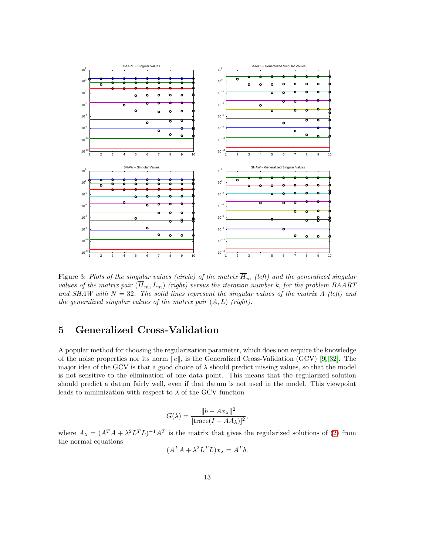

<span id="page-12-0"></span>Figure 3: Plots of the singular values (circle) of the matrix  $\overline{H}_m$  (left) and the generalized singular values of the matrix pair  $(\overline{H}_m, L_m)$  (right) versus the iteration number k, for the problem BAART and SHAW with  $N = 32$ . The solid lines represent the singular values of the matrix A (left) and the generalized singular values of the matrix pair  $(A, L)$  (right).

## 5 Generalized Cross-Validation

A popular method for choosing the regularization parameter, which does non require the knowledge of the noise properties nor its norm  $||e||$ , is the Generalized Cross-Validation (GCV) [\[9,](#page-19-8) [32\]](#page-21-2). The major idea of the GCV is that a good choice of  $\lambda$  should predict missing values, so that the model is not sensitive to the elimination of one data point. This means that the regularized solution should predict a datum fairly well, even if that datum is not used in the model. This viewpoint leads to minimization with respect to  $\lambda$  of the GCV function

$$
G(\lambda) = \frac{\|b - Ax_{\lambda}\|^2}{[\text{trace}(I - AA_{\lambda})]^2}
$$

,

where  $A_{\lambda} = (A^T A + \lambda^2 L^T L)^{-1} A^T$  is the matrix that gives the regularized solutions of [\(2\)](#page-0-1) from the normal equations

$$
(A^T A + \lambda^2 L^T L)x_{\lambda} = A^T b.
$$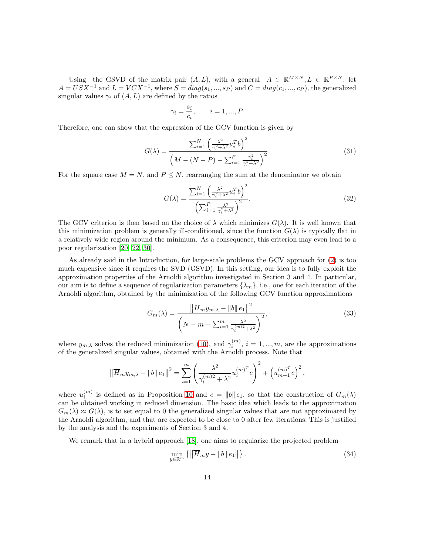Using the GSVD of the matrix pair  $(A, L)$ , with a general  $A \in \mathbb{R}^{M \times N}, L \in \mathbb{R}^{P \times N}$ , let  $A = USX^{-1}$  and  $L = VCX^{-1}$ , where  $S = diag(s_1, ..., s_P)$  and  $C = diag(c_1, ..., c_P)$ , the generalized singular values  $\gamma_i$  of  $(A, L)$  are defined by the ratios

$$
\gamma_i = \frac{s_i}{c_i}, \qquad i = 1, ..., P.
$$

Therefore, one can show that the expression of the GCV function is given by

$$
G(\lambda) = \frac{\sum_{i=1}^{N} \left(\frac{\lambda^2}{\gamma_i^2 + \lambda^2} u_i^T b\right)^2}{\left(M - (N - P) - \sum_{i=1}^{P} \frac{\gamma_i^2}{\gamma_i^2 + \lambda^2}\right)^2}.
$$
\n(31)

For the square case  $M = N$ , and  $P \leq N$ , rearranging the sum at the denominator we obtain

$$
G(\lambda) = \frac{\sum_{i=1}^{N} \left(\frac{\lambda^2}{\gamma_i^2 + \lambda^2} u_i^T b\right)^2}{\left(\sum_{i=1}^{P} \frac{\lambda^2}{\gamma_i^2 + \lambda^2}\right)^2}.
$$
\n(32)

The GCV criterion is then based on the choice of  $\lambda$  which minimizes  $G(\lambda)$ . It is well known that this minimization problem is generally ill-conditioned, since the function  $G(\lambda)$  is typically flat in a relatively wide region around the minimum. As a consequence, this criterion may even lead to a poor regularization [\[20,](#page-20-15) [22,](#page-20-16) [30\]](#page-21-3).

As already said in the Introduction, for large-scale problems the GCV approach for [\(2\)](#page-0-1) is too much expensive since it requires the SVD (GSVD). In this setting, our idea is to fully exploit the approximation properties of the Arnoldi algorithm investigated in Section 3 and 4. In particular, our aim is to define a sequence of regularization parameters  $\{\lambda_m\}$ , i.e., one for each iteration of the Arnoldi algorithm, obtained by the minimization of the following GCV function approximations

<span id="page-13-1"></span>
$$
G_m(\lambda) = \frac{\left\|\overline{H}_m y_{m,\lambda} - \|b\| \, e_1\right\|^2}{\left(N - m + \sum_{i=1}^m \frac{\lambda^2}{\gamma_i^{(m)2} + \lambda^2}\right)^2},\tag{33}
$$

where  $y_{m,\lambda}$  solves the reduced minimization [\(10\)](#page-2-4), and  $\gamma_i^{(m)}$ ,  $i = 1, ..., m$ , are the approximations of the generalized singular values, obtained with the Arnoldi process. Note that

$$
\left\|\overline{H}_m y_{m,\lambda} - \|b\|e_1\right\|^2 = \sum_{i=1}^m \left(\frac{\lambda^2}{\gamma_i^{(m)2} + \lambda^2} u_i^{(m)^T} c\right)^2 + \left(u_{m+1}^{(m)^T} c\right)^2,
$$

where  $u_i^{(m)}$  is defined as in Proposition [10](#page-10-1) and  $c = ||b|| e_1$ , so that the construction of  $G_m(\lambda)$ can be obtained working in reduced dimension. The basic idea which leads to the approximation  $G_m(\lambda) \approx G(\lambda)$ , is to set equal to 0 the generalized singular values that are not approximated by the Arnoldi algorithm, and that are expected to be close to 0 after few iterations. This is justified by the analysis and the experiments of Section 3 and 4.

We remark that in a hybrid approach [\[18\]](#page-20-6), one aims to regularize the projected problem

<span id="page-13-0"></span>
$$
\min_{y \in \mathbb{R}^m} \left\{ \left\| \overline{H}_m y - \|b\| \, e_1 \right\| \right\}. \tag{34}
$$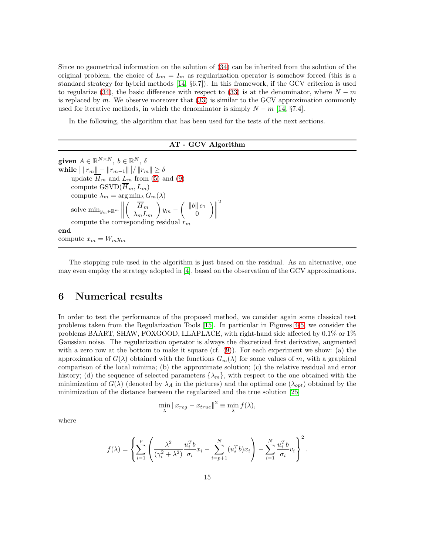Since no geometrical information on the solution of [\(34\)](#page-13-0) can be inherited from the solution of the original problem, the choice of  $L_m = I_m$  as regularization operator is somehow forced (this is a standard strategy for hybrid methods [\[14,](#page-20-0) §6.7]). In this framework, if the GCV criterion is used to regularize [\(34\)](#page-13-0), the basic difference with respect to [\(33\)](#page-13-1) is at the denominator, where  $N - m$ is replaced by  $m$ . We observe moreover that  $(33)$  is similar to the GCV approximation commonly used for iterative methods, in which the denominator is simply  $N - m$  [\[14,](#page-20-0) §7.4].

In the following, the algorithm that has been used for the tests of the next sections.

AT - GCV Algorithm

given  $A \in \mathbb{R}^{N \times N}$ ,  $b \in \mathbb{R}^N$ ,  $\delta$ while  $\big|\, \|r_m\| - \|r_{m-1}\| \,\big|/\, \|r_m\| \geq \delta$ update  $\overline{H}_m$  and  $L_m$  from [\(5\)](#page-2-5) and [\(9\)](#page-2-6) compute  $\mathrm{GSVD}(\overline{H}_m, L_m)$ compute  $\lambda_m = \arg \min_{\lambda} G_m(\lambda)$ solve  $\min_{y_m \in \mathbb{R}^m}$   $\left( \n\overline{H}_m \right)$  $\lambda_m L_m$  $\setminus$  $y_m \int ||b|| e_1$  $\theta$  $\Big)\Big\|$ 2 compute the corresponding residual  $r_m$ end compute  $x_m = W_m y_m$ 

The stopping rule used in the algorithm is just based on the residual. As an alternative, one may even employ the strategy adopted in [\[4\]](#page-19-5), based on the observation of the GCV approximations.

#### 6 Numerical results

In order to test the performance of the proposed method, we consider again some classical test problems taken from the Regularization Tools [\[15\]](#page-20-12). In particular in Figures [4-](#page-15-0)[5,](#page-16-0) we consider the problems BAART, SHAW, FOXGOOD, LLAPLACE, with right-hand side affected by 0.1% or 1% Gaussian noise. The regularization operator is always the discretized first derivative, augmented with a zero row at the bottom to make it square (cf.  $(9)$ ). For each experiment we show: (a) the approximation of  $G(\lambda)$  obtained with the functions  $G_m(\lambda)$  for some values of m, with a graphical comparison of the local minima; (b) the approximate solution; (c) the relative residual and error history; (d) the sequence of selected parameters  $\{\lambda_m\}$ , with respect to the one obtained with the minimization of  $G(\lambda)$  (denoted by  $\lambda_A$  in the pictures) and the optimal one  $(\lambda_{opt})$  obtained by the minimization of the distance between the regularized and the true solution [\[25\]](#page-20-17)

$$
\min_{\lambda} \|x_{reg} - x_{true}\|^2 \equiv \min_{\lambda} f(\lambda),
$$

where

$$
f(\lambda) = \left\{ \sum_{i=1}^p \left( \frac{\lambda^2}{(\gamma_i^2 + \lambda^2)} \frac{u_i^T b}{\sigma_i} x_i - \sum_{i=p+1}^N (u_i^T b) x_i \right) - \sum_{i=1}^N \frac{u_i^T b}{\sigma_i} v_i \right\}^2.
$$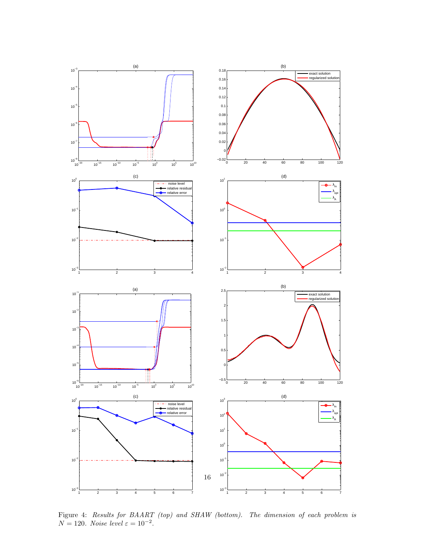

<span id="page-15-0"></span>Figure 4: Results for BAART (top) and SHAW (bottom). The dimension of each problem is  $N = 120$ . Noise level  $\varepsilon = 10^{-2}$ .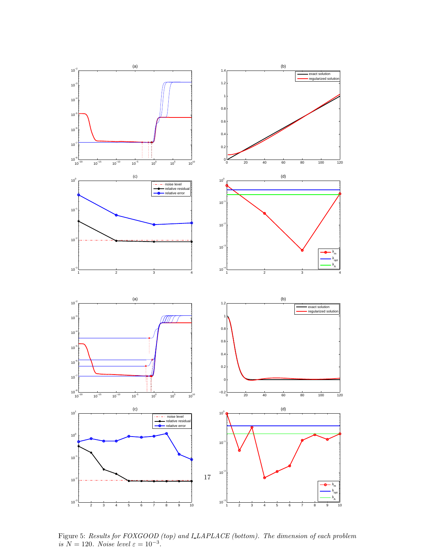

<span id="page-16-0"></span>Figure 5: Results for FOXGOOD (top) and LLAPLACE (bottom). The dimension of each problem is  $N = 120$ . Noise level  $\varepsilon = 10^{-3}$ .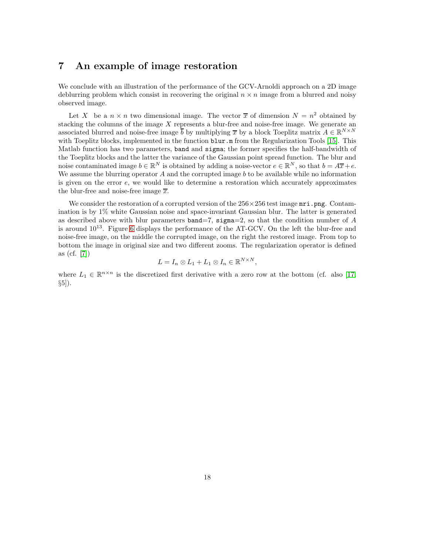## 7 An example of image restoration

We conclude with an illustration of the performance of the GCV-Arnoldi approach on a 2D image deblurring problem which consist in recovering the original  $n \times n$  image from a blurred and noisy observed image.

Let X be a  $n \times n$  two dimensional image. The vector  $\bar{x}$  of dimension  $N = n^2$  obtained by stacking the columns of the image  $X$  represents a blur-free and noise-free image. We generate an associated blurred and noise-free image  $\overline{b}$  by multiplying  $\overline{x}$  by a block Toeplitz matrix  $A \in \mathbb{R}^{N \times N}$ with Toeplitz blocks, implemented in the function  $\texttt{blur.m}$  from the Regularization Tools [\[15\]](#page-20-12). This Matlab function has two parameters, band and sigma; the former specifies the half-bandwidth of the Toeplitz blocks and the latter the variance of the Gaussian point spread function. The blur and noise contaminated image  $b \in \mathbb{R}^N$  is obtained by adding a noise-vector  $e \in \mathbb{R}^N$ , so that  $b = A\overline{x} + e$ . We assume the blurring operator A and the corrupted image b to be available while no information is given on the error e, we would like to determine a restoration which accurately approximates the blur-free and noise-free image  $\overline{x}$ .

We consider the restoration of a corrupted version of the  $256 \times 256$  test image  $mri.$ png. Contamination is by 1% white Gaussian noise and space-invariant Gaussian blur. The latter is generated as described above with blur parameters  $band=7$ , sigma=2, so that the condition number of A is around  $10^{13}$ . Figure [6](#page-18-0) displays the performance of the AT-GCV. On the left the blur-free and noise-free image, on the middle the corrupted image, on the right the restored image. From top to bottom the image in original size and two different zooms. The regularization operator is defined as (cf. [\[7\]](#page-19-9))

$$
L = I_n \otimes L_1 + L_1 \otimes I_n \in \mathbb{R}^{N \times N},
$$

where  $L_1 \in \mathbb{R}^{n \times n}$  is the discretized first derivative with a zero row at the bottom (cf. also [\[17,](#page-20-5)  $\S5$ .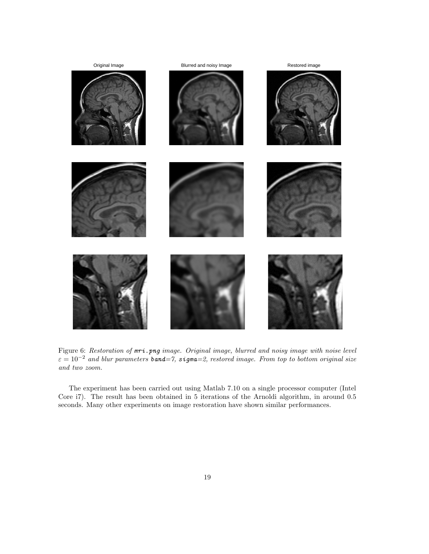

<span id="page-18-0"></span>Figure 6: Restoration of  $mri.png$  image. Original image, blurred and noisy image with noise level  $\varepsilon = 10^{-2}$  and blur parameters **band**=7, sigma=2, restored image. From top to bottom original size and two zoom.

The experiment has been carried out using Matlab 7.10 on a single processor computer (Intel Core i7). The result has been obtained in 5 iterations of the Arnoldi algorithm, in around 0.5 seconds. Many other experiments on image restoration have shown similar performances.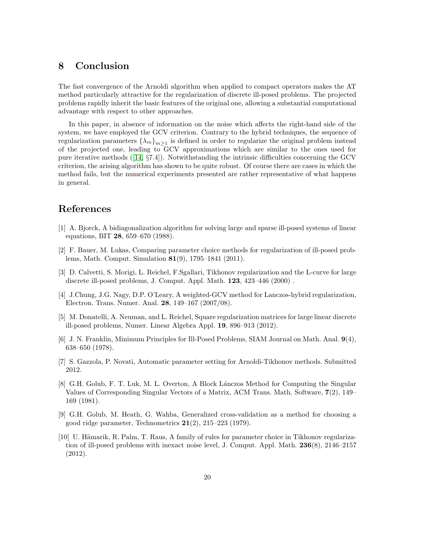### 8 Conclusion

The fast convergence of the Arnoldi algorithm when applied to compact operators makes the AT method particularly attractive for the regularization of discrete ill-posed problems. The projected problems rapidly inherit the basic features of the original one, allowing a substantial computational advantage with respect to other approaches.

In this paper, in absence of information on the noise which affects the right-hand side of the system, we have employed the GCV criterion. Contrary to the hybrid techniques, the sequence of regularization parameters  $\{\lambda_m\}_{m\geq 1}$  is defined in order to regularize the original problem instead of the projected one, leading to GCV approximations which are similar to the ones used for pure iterative methods ([\[14,](#page-20-0) §7.4]). Notwithstanding the intrinsic difficulties concerning the GCV criterion, the arising algorithm has shown to be quite robust. Of course there are cases in which the method fails, but the numerical experiments presented are rather representative of what happens in general.

## <span id="page-19-3"></span>References

- <span id="page-19-1"></span>[1] A. Bjorck, A bidiagonalization algorithm for solving large and sparse ill-posed systems of linear equations, BIT 28, 659–670 (1988).
- [2] F. Bauer, M. Lukas, Comparing parameter choice methods for regularization of ill-posed problems, Math. Comput. Simulation 81(9), 1795–1841 (2011).
- <span id="page-19-4"></span>[3] D. Calvetti, S. Morigi, L. Reichel, F.Sgallari, Tikhonov regularization and the L-curve for large discrete ill-posed problems, J. Comput. Appl. Math. 123, 423–446 (2000) .
- <span id="page-19-5"></span><span id="page-19-0"></span>[4] J.Chung, J.G. Nagy, D.P. O'Leary, A weighted-GCV method for Lanczos-hybrid regularization, Electron. Trans. Numer. Anal. 28, 149–167 (2007/08).
- [5] M. Donatelli, A. Neuman, and L. Reichel, Square regularization matrices for large linear discrete ill-posed problems, Numer. Linear Algebra Appl. 19, 896–913 (2012).
- <span id="page-19-6"></span>[6] J. N. Franklin, Minimum Principles for Ill-Posed Problems, SIAM Journal on Math. Anal. 9(4), 638–650 (1978).
- <span id="page-19-9"></span><span id="page-19-7"></span>[7] S. Gazzola, P. Novati, Automatic parameter setting for Arnoldi-Tikhonov methods. Submitted 2012.
- [8] G.H. Golub, F. T. Luk, M. L. Overton, A Block Lánczos Method for Computing the Singular Values of Corresponding Singular Vectors of a Matrix, ACM Trans. Math. Software, 7(2), 149– 169 (1981).
- <span id="page-19-8"></span>[9] G.H. Golub, M. Heath, G. Wahba, Generalized cross-validation as a method for choosing a good ridge parameter, Technometrics  $21(2)$ ,  $215-223$  (1979).
- <span id="page-19-2"></span>[10] U. Hämarik, R. Palm, T. Raus, A family of rules for parameter choice in Tikhonov regularization of ill-posed problems with inexact noise level, J. Comput. Appl. Math. 236(8), 2146–2157 (2012).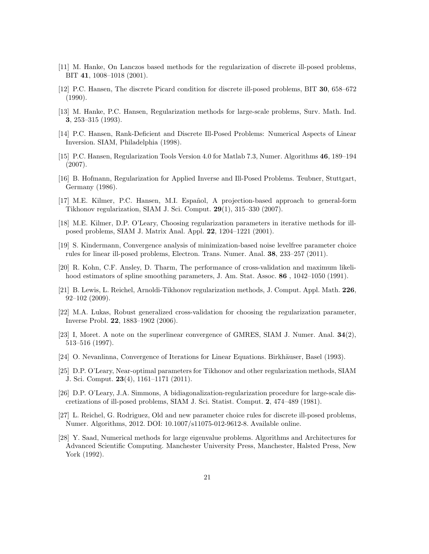- <span id="page-20-8"></span><span id="page-20-4"></span>[11] M. Hanke, On Lanczos based methods for the regularization of discrete ill-posed problems, BIT 41, 1008–1018 (2001).
- <span id="page-20-1"></span>[12] P.C. Hansen, The discrete Picard condition for discrete ill-posed problems, BIT 30, 658–672 (1990).
- [13] M. Hanke, P.C. Hansen, Regularization methods for large-scale problems, Surv. Math. Ind. 3, 253–315 (1993).
- <span id="page-20-0"></span>[14] P.C. Hansen, Rank-Deficient and Discrete Ill-Posed Problems: Numerical Aspects of Linear Inversion. SIAM, Philadelphia (1998).
- <span id="page-20-12"></span>[15] P.C. Hansen, Regularization Tools Version 4.0 for Matlab 7.3, Numer. Algorithms 46, 189–194 (2007).
- <span id="page-20-11"></span>[16] B. Hofmann, Regularization for Applied Inverse and Ill-Posed Problems. Teubner, Stuttgart, Germany (1986).
- <span id="page-20-5"></span>[17] M.E. Kilmer, P.C. Hansen, M.I. Español, A projection-based approach to general-form Tikhonov regularization, SIAM J. Sci. Comput. 29(1), 315–330 (2007).
- <span id="page-20-6"></span>[18] M.E. Kilmer, D.P. O'Leary, Choosing regularization parameters in iterative methods for illposed problems, SIAM J. Matrix Anal. Appl. 22, 1204–1221 (2001).
- <span id="page-20-3"></span>[19] S. Kindermann, Convergence analysis of minimization-based noise levelfree parameter choice rules for linear ill-posed problems, Electron. Trans. Numer. Anal. 38, 233–257 (2011).
- <span id="page-20-15"></span>[20] R. Kohn, C.F. Ansley, D. Tharm, The performance of cross-validation and maximum likelihood estimators of spline smoothing parameters, J. Am. Stat. Assoc. **86**, 1042–1050 (1991).
- <span id="page-20-7"></span>[21] B. Lewis, L. Reichel, Arnoldi-Tikhonov regularization methods, J. Comput. Appl. Math. 226, 92–102 (2009).
- <span id="page-20-16"></span>[22] M.A. Lukas, Robust generalized cross-validation for choosing the regularization parameter, Inverse Probl. 22, 1883–1902 (2006).
- <span id="page-20-10"></span>[23] I, Moret. A note on the superlinear convergence of GMRES, SIAM J. Numer. Anal. 34(2), 513–516 (1997).
- <span id="page-20-17"></span><span id="page-20-9"></span>[24] O. Nevanlinna, Convergence of Iterations for Linear Equations. Birkhäuser, Basel (1993).
- [25] D.P. O'Leary, Near-optimal parameters for Tikhonov and other regularization methods, SIAM J. Sci. Comput. 23(4), 1161–1171 (2011).
- <span id="page-20-14"></span>[26] D.P. O'Leary, J.A. Simmons, A bidiagonalization-regularization procedure for large-scale discretizations of ill-posed problems, SIAM J. Sci. Statist. Comput. 2, 474–489 (1981).
- <span id="page-20-2"></span>[27] L. Reichel, G. Rodriguez, Old and new parameter choice rules for discrete ill-posed problems, Numer. Algorithms, 2012. DOI: 10.1007/s11075-012-9612-8. Available online.
- <span id="page-20-13"></span>[28] Y. Saad, Numerical methods for large eigenvalue problems. Algorithms and Architectures for Advanced Scientific Computing. Manchester University Press, Manchester, Halsted Press, New York (1992).